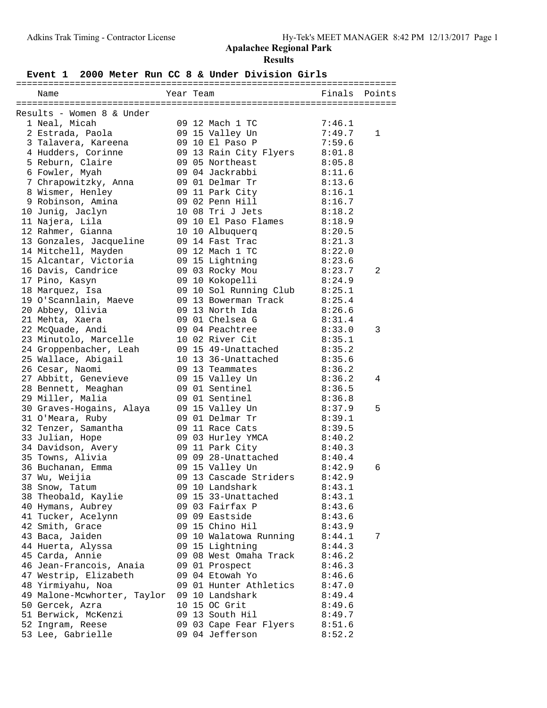## **Event 1 2000 Meter Run CC 8 & Under Division Girls**

| Name                                  | Year Team |                                           | Finals           | Points       |
|---------------------------------------|-----------|-------------------------------------------|------------------|--------------|
|                                       |           |                                           |                  |              |
| Results - Women 8 & Under             |           |                                           |                  |              |
| 1 Neal, Micah                         |           | 09 12 Mach 1 TC                           | 7:46.1           |              |
| 2 Estrada, Paola                      |           | 09 15 Valley Un                           | 7:49.7           | $\mathbf{1}$ |
| 3 Talavera, Kareena                   |           | 09 10 El Paso P                           | 7:59.6           |              |
| 4 Hudders, Corinne                    |           | 09 13 Rain City Flyers                    | 8:01.8           |              |
| 5 Reburn, Claire                      |           | 09 05 Northeast                           | 8:05.8           |              |
| 6 Fowler, Myah                        |           | 09 04 Jackrabbi                           | 8:11.6           |              |
| 7 Chrapowitzky, Anna                  |           | 09 01 Delmar Tr                           | 8:13.6           |              |
| 8 Wismer, Henley                      |           | 09 11 Park City                           | 8:16.1           |              |
| 9 Robinson, Amina                     |           | 09 02 Penn Hill                           | 8:16.7           |              |
| 10 Junig, Jaclyn                      |           | 10 08 Tri J Jets                          | 8:18.2           |              |
| 11 Najera, Lila                       |           | 09 10 El Paso Flames                      | 8:18.9           |              |
| 12 Rahmer, Gianna                     |           | 10 10 Albuquerq                           | 8:20.5           |              |
| 13 Gonzales, Jacqueline               |           | 09 14 Fast Trac                           | 8:21.3           |              |
| 14 Mitchell, Mayden                   |           | 09 12 Mach 1 TC                           | 8:22.0           |              |
| 15 Alcantar, Victoria                 |           | 09 15 Lightning                           | 8:23.6           |              |
| 16 Davis, Candrice                    |           | 09 03 Rocky Mou                           | 8:23.7           | 2            |
| 17 Pino, Kasyn                        |           | 09 10 Kokopelli                           | 8:24.9           |              |
| 18 Marquez, Isa                       |           | 09 10 Sol Running Club                    | 8:25.1           |              |
| 19 O'Scannlain, Maeve                 |           | 09 13 Bowerman Track                      | 8:25.4           |              |
| 20 Abbey, Olivia                      |           | 09 13 North Ida                           | 8:26.6           |              |
| 21 Mehta, Xaera                       |           | 09 01 Chelsea G                           | 8:31.4           |              |
| 22 McQuade, Andi                      |           | 09 04 Peachtree                           | 8:33.0           | 3            |
| 23 Minutolo, Marcelle                 |           | 10 02 River Cit                           | 8:35.1           |              |
| 24 Groppenbacher, Leah                |           | 09 15 49-Unattached                       | 8:35.2           |              |
| 25 Wallace, Abigail                   |           | 10 13 36-Unattached                       | 8:35.6           |              |
| 26 Cesar, Naomi                       |           | 09 13 Teammates                           | 8:36.2           |              |
| 27 Abbitt, Genevieve                  |           | 09 15 Valley Un                           | 8:36.2           | 4            |
| 28 Bennett, Meaghan                   |           | 09 01 Sentinel                            | 8:36.5           |              |
| 29 Miller, Malia                      |           | 09 01 Sentinel                            | 8:36.8           |              |
| 30 Graves-Hogains, Alaya              |           | 09 15 Valley Un                           | 8:37.9           | 5            |
| 31 O'Meara, Ruby                      |           | 09 01 Delmar Tr                           | 8:39.1           |              |
| 32 Tenzer, Samantha                   |           | 09 11 Race Cats                           | 8:39.5           |              |
|                                       |           |                                           |                  |              |
| 33 Julian, Hope                       |           | 09 03 Hurley YMCA                         | 8:40.2<br>8:40.3 |              |
| 34 Davidson, Avery                    |           | 09 11 Park City                           |                  |              |
| 35 Towns, Alivia<br>36 Buchanan, Emma |           | 09 09 28-Unattached                       | 8:40.4<br>8:42.9 | 6            |
|                                       |           | 09 15 Valley Un<br>09 13 Cascade Striders | 8:42.9           |              |
| 37 Wu, Weijia                         |           |                                           |                  |              |
| 38 Snow, Tatum                        |           | 09 10 Landshark                           | 8:43.1           |              |
| 38 Theobald, Kaylie                   |           | 09 15 33-Unattached                       | 8:43.1           |              |
| 40 Hymans, Aubrey                     |           | 09 03 Fairfax P                           | 8:43.6           |              |
| 41 Tucker, Acelynn                    |           | 09 09 Eastside                            | 8:43.6           |              |
| 42 Smith, Grace                       |           | 09 15 Chino Hil                           | 8:43.9           |              |
| 43 Baca, Jaiden                       |           | 09 10 Walatowa Running                    | 8:44.1           | 7            |
| 44 Huerta, Alyssa                     |           | 09 15 Lightning                           | 8:44.3           |              |
| 45 Carda, Annie                       |           | 09 08 West Omaha Track                    | 8:46.2           |              |
| 46 Jean-Francois, Anaia               |           | 09 01 Prospect                            | 8:46.3           |              |
| 47 Westrip, Elizabeth                 |           | 09 04 Etowah Yo                           | 8:46.6           |              |
| 48 Yirmiyahu, Noa                     |           | 09 01 Hunter Athletics                    | 8:47.0           |              |
| 49 Malone-Mcwhorter, Taylor           |           | 09 10 Landshark                           | 8:49.4           |              |
| 50 Gercek, Azra                       |           | 10 15 OC Grit                             | 8:49.6           |              |
| 51 Berwick, McKenzi                   |           | 09 13 South Hil                           | 8:49.7           |              |
| 52 Ingram, Reese                      |           | 09 03 Cape Fear Flyers                    | 8:51.6           |              |
| 53 Lee, Gabrielle                     |           | 09 04 Jefferson                           | 8:52.2           |              |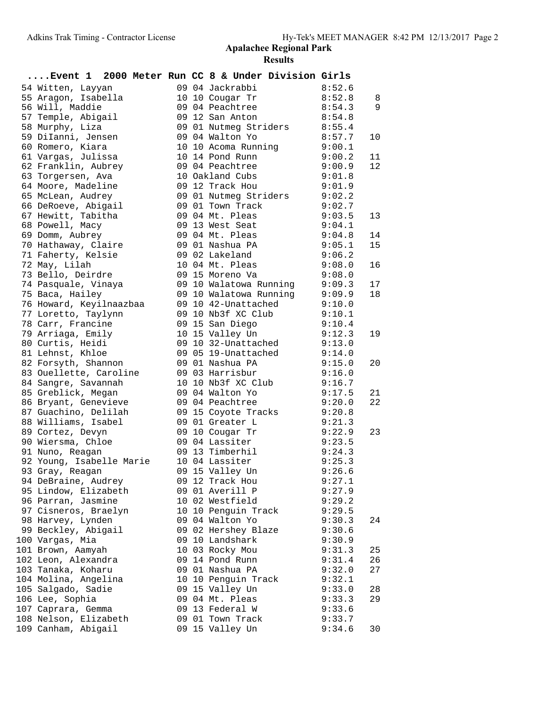| Event 1 2000 Meter Run CC 8 & Under Division Girls |  |                        |        |    |
|----------------------------------------------------|--|------------------------|--------|----|
| 54 Witten, Layyan                                  |  | 09 04 Jackrabbi        | 8:52.6 |    |
| 55 Aragon, Isabella                                |  | 10 10 Cougar Tr        | 8:52.8 | 8  |
| 56 Will, Maddie                                    |  | 09 04 Peachtree        | 8:54.3 | 9  |
| 57 Temple, Abigail                                 |  | 09 12 San Anton        | 8:54.8 |    |
| 58 Murphy, Liza                                    |  | 09 01 Nutmeg Striders  | 8:55.4 |    |
| 59 DiIanni, Jensen                                 |  | 09 04 Walton Yo        | 8:57.7 | 10 |
| 60 Romero, Kiara                                   |  | 10 10 Acoma Running    | 9:00.1 |    |
| 61 Vargas, Julissa                                 |  | 10 14 Pond Runn        | 9:00.2 | 11 |
| 62 Franklin, Aubrey                                |  | 09 04 Peachtree        | 9:00.9 | 12 |
| 63 Torgersen, Ava                                  |  | 10 Oakland Cubs        | 9:01.8 |    |
| 64 Moore, Madeline                                 |  | 09 12 Track Hou        | 9:01.9 |    |
| 65 McLean, Audrey                                  |  | 09 01 Nutmeg Striders  | 9:02.2 |    |
| 66 DeRoeve, Abigail                                |  | 09 01 Town Track       | 9:02.7 |    |
| 67 Hewitt, Tabitha                                 |  | 09 04 Mt. Pleas        | 9:03.5 | 13 |
| 68 Powell, Macy                                    |  | 09 13 West Seat        | 9:04.1 |    |
| 69 Domm, Aubrey                                    |  | 09 04 Mt. Pleas        | 9:04.8 | 14 |
| 70 Hathaway, Claire                                |  | 09 01 Nashua PA        | 9:05.1 | 15 |
| 71 Faherty, Kelsie                                 |  | 09 02 Lakeland         | 9:06.2 |    |
| 72 May, Lilah                                      |  | 10 04 Mt. Pleas        | 9:08.0 | 16 |
| 73 Bello, Deirdre                                  |  | 09 15 Moreno Va        | 9:08.0 |    |
| 74 Pasquale, Vinaya                                |  | 09 10 Walatowa Running | 9:09.3 | 17 |
| 75 Baca, Hailey                                    |  | 09 10 Walatowa Running | 9:09.9 | 18 |
| 76 Howard, Keyilnaazbaa                            |  | 09 10 42-Unattached    | 9:10.0 |    |
| 77 Loretto, Taylynn                                |  | 09 10 Nb3f XC Club     | 9:10.1 |    |
| 78 Carr, Francine                                  |  | 09 15 San Diego        | 9:10.4 |    |
| 79 Arriaga, Emily                                  |  | 10 15 Valley Un        | 9:12.3 | 19 |
| 80 Curtis, Heidi                                   |  | 09 10 32-Unattached    | 9:13.0 |    |
| 81 Lehnst, Khloe                                   |  | 09 05 19-Unattached    | 9:14.0 |    |
| 82 Forsyth, Shannon                                |  | 09 01 Nashua PA        | 9:15.0 | 20 |
| 83 Ouellette, Caroline                             |  | 09 03 Harrisbur        | 9:16.0 |    |
| 84 Sangre, Savannah                                |  | 10 10 Nb3f XC Club     | 9:16.7 |    |
| 85 Greblick, Megan                                 |  | 09 04 Walton Yo        | 9:17.5 | 21 |
| 86 Bryant, Genevieve                               |  | 09 04 Peachtree        | 9:20.0 | 22 |
| 87 Guachino, Delilah                               |  | 09 15 Coyote Tracks    | 9:20.8 |    |
| 88 Williams, Isabel                                |  | 09 01 Greater L        | 9:21.3 |    |
| 89 Cortez, Devyn                                   |  | 09 10 Cougar Tr        | 9:22.9 | 23 |
| 90 Wiersma, Chloe                                  |  | 09 04 Lassiter         | 9:23.5 |    |
| 91 Nuno, Reagan                                    |  | 09 13 Timberhil        | 9:24.3 |    |
| 92 Young, Isabelle Marie                           |  | 10 04 Lassiter         | 9:25.3 |    |
| 93 Gray, Reagan                                    |  | 09 15 Valley Un        | 9:26.6 |    |
| 94 DeBraine, Audrey                                |  | 09 12 Track Hou        | 9:27.1 |    |
| 95 Lindow, Elizabeth                               |  | 09 01 Averill P        | 9:27.9 |    |
| 96 Parran, Jasmine                                 |  | 10 02 Westfield        | 9:29.2 |    |
| 97 Cisneros, Braelyn                               |  | 10 10 Penquin Track    | 9:29.5 |    |
| 98 Harvey, Lynden                                  |  | 09 04 Walton Yo        | 9:30.3 | 24 |
| 99 Beckley, Abigail                                |  | 09 02 Hershey Blaze    | 9:30.6 |    |
| 100 Vargas, Mia                                    |  | 09 10 Landshark        | 9:30.9 |    |
| 101 Brown, Aamyah                                  |  | 10 03 Rocky Mou        | 9:31.3 | 25 |
| 102 Leon, Alexandra                                |  | 09 14 Pond Runn        | 9:31.4 | 26 |
| 103 Tanaka, Koharu                                 |  | 09 01 Nashua PA        | 9:32.0 | 27 |
| 104 Molina, Angelina                               |  | 10 10 Penguin Track    | 9:32.1 |    |
| 105 Salgado, Sadie                                 |  | 09 15 Valley Un        | 9:33.0 | 28 |
| 106 Lee, Sophia                                    |  | 09 04 Mt. Pleas        | 9:33.3 | 29 |
| 107 Caprara, Gemma                                 |  | 09 13 Federal W        | 9:33.6 |    |
| 108 Nelson, Elizabeth                              |  | 09 01 Town Track       | 9:33.7 |    |
| 109 Canham, Abigail                                |  | 09 15 Valley Un        | 9:34.6 | 30 |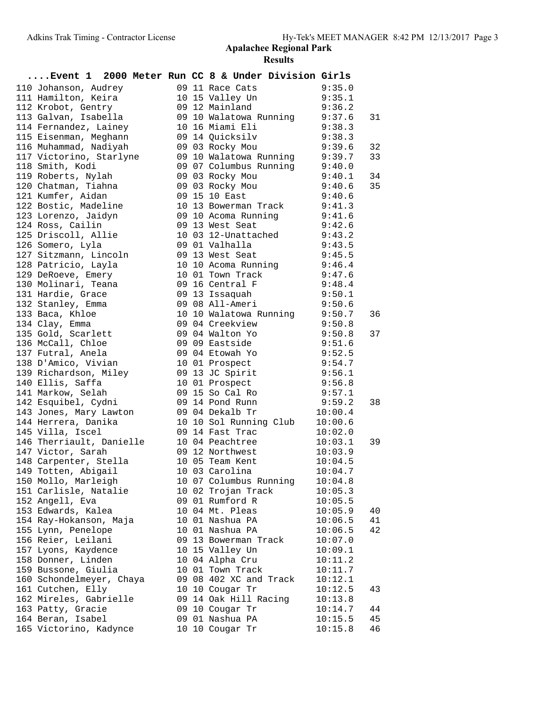| Event 1 2000 Meter Run CC 8 & Under Division Girls |  |                                                                                                                    |                  |    |
|----------------------------------------------------|--|--------------------------------------------------------------------------------------------------------------------|------------------|----|
| 110 Johanson, Audrey                               |  | 09 11 Race Cats                                                                                                    | 9:35.0           |    |
| 111 Hamilton, Keira                                |  | 10 15 Valley Un                                                                                                    | 9:35.1           |    |
| 112 Krobot, Gentry                                 |  | 09 12 Mainland                                                                                                     | 9:36.2           |    |
| 113 Galvan, Isabella                               |  | 09 10 Walatowa Running 9:37.6                                                                                      |                  | 31 |
| 114 Fernandez, Lainey                              |  | 10 16 Miami Eli                                                                                                    | 9:38.3           |    |
| 115 Eisenman, Meghann                              |  | 9:38.3<br>09 14 Quicksilv                                                                                          |                  |    |
| 116 Muhammad, Nadiyah                              |  | 09 03 Rocky Mou                                                                                                    | 9:39.6           | 32 |
| 117 Victorino, Starlyne                            |  |                                                                                                                    |                  | 33 |
| 118 Smith, Kodi                                    |  |                                                                                                                    |                  |    |
| 119 Roberts, Nylah                                 |  | 09 10 Walatowa Running 9:39.7<br>09 07 Columbus Running 9:40.0<br>09 03 Rocky Mou 9:40.1<br>09 03 Rocky Mou 9:40.6 |                  | 34 |
| 120 Chatman, Tiahna                                |  |                                                                                                                    |                  | 35 |
| 121 Kumfer, Aidan                                  |  | 09 15 10 East                                                                                                      | 9:40.6           |    |
| 122 Bostic, Madeline                               |  | 10 13 Bowerman Track 9:41.3                                                                                        |                  |    |
| 123 Lorenzo, Jaidyn                                |  | 09 10 Acoma Running                                                                                                | 9:41.6           |    |
| 124 Ross, Cailin                                   |  | 09 13 West Seat                                                                                                    | 9:42.6           |    |
| 125 Driscoll, Allie                                |  | 10 03 12-Unattached 9:43.2                                                                                         |                  |    |
| 126 Somero, Lyla                                   |  | 09 01 Valhalla                                                                                                     | 9:43.5           |    |
| 127 Sitzmann, Lincoln                              |  | 9:45.5<br>09 13 West Seat                                                                                          |                  |    |
| 128 Patricio, Layla                                |  | 10 10 Acoma Running 9:46.4                                                                                         |                  |    |
| 129 DeRoeve, Emery                                 |  | 10 01 Town Track<br>10 01 Town Track 9:47.6<br>09 16 Central F 9:48.4<br>09 13 Issaquah 9:50.1                     |                  |    |
| 130 Molinari, Teana                                |  |                                                                                                                    |                  |    |
| 131 Hardie, Grace                                  |  |                                                                                                                    |                  |    |
| 132 Stanley, Emma                                  |  | 09 08 All-Ameri                                                                                                    | 9:50.6           |    |
| 133 Baca, Khloe                                    |  | 10 10 Walatowa Running 9:50.7                                                                                      |                  | 36 |
| 134 Clay, Emma                                     |  | 09 04 Creekview                                                                                                    | 9:50.8           |    |
| 135 Gold, Scarlett                                 |  | 09 04 Walton Yo                                                                                                    | 9:50.8<br>9:51.6 | 37 |
| 136 McCall, Chloe                                  |  | 09 09 Eastside<br>09 04 Etowah Yo                                                                                  | 9:52.5           |    |
| 137 Futral, Anela<br>138 D'Amico, Vivian           |  |                                                                                                                    | 9:54.7           |    |
|                                                    |  | 10 01 Prospect<br>09 13 JC Spirit 9:56.1                                                                           |                  |    |
| 139 Richardson, Miley<br>140 Ellis, Saffa          |  |                                                                                                                    | 9:56.8           |    |
| 141 Markow, Selah                                  |  | 10 01 Prospect<br>09 15 So Cal Ro                                                                                  | 9:57.1           |    |
| 142 Esquibel, Cydni                                |  | 09 14 Pond Runn                                                                                                    | 9:59.2           | 38 |
|                                                    |  | 09 04 Dekalb Tr                                                                                                    | 10:00.4          |    |
| 143 Jones, Mary Lawton<br>144 Herrera, Danika      |  | 10 10 Sol Running Club                                                                                             | 10:00.6          |    |
| 145 Villa, Iscel                                   |  | 09 14 Fast Trac                                                                                                    | 10:02.0          |    |
| 146 Therriault, Danielle                           |  | 10 04 Peachtree                                                                                                    | 10:03.1          | 39 |
| 147 Victor, Sarah                                  |  | 09 12 Northwest                                                                                                    | 10:03.9          |    |
| 148 Carpenter, Stella                              |  | 10 05 Team Kent                                                                                                    | 10:04.5          |    |
| 149 Totten, Abigail                                |  | 10 03 Carolina                                                                                                     | 10:04.7          |    |
| 150 Mollo, Marleigh                                |  | 10 07 Columbus Running                                                                                             | 10:04.8          |    |
| 151 Carlisle, Natalie                              |  | 10 02 Trojan Track                                                                                                 | 10:05.3          |    |
| 152 Angell, Eva                                    |  | 09 01 Rumford R                                                                                                    | 10:05.5          |    |
| 153 Edwards, Kalea                                 |  | 10 04 Mt. Pleas                                                                                                    | 10:05.9          | 40 |
| 154 Ray-Hokanson, Maja                             |  | 10 01 Nashua PA                                                                                                    | 10:06.5          | 41 |
| 155 Lynn, Penelope                                 |  | 10 01 Nashua PA                                                                                                    | 10:06.5          | 42 |
| 156 Reier, Leilani                                 |  | 09 13 Bowerman Track                                                                                               | 10:07.0          |    |
| 157 Lyons, Kaydence                                |  | 10 15 Valley Un                                                                                                    | 10:09.1          |    |
| 158 Donner, Linden                                 |  | 10 04 Alpha Cru                                                                                                    | 10:11.2          |    |
| 159 Bussone, Giulia                                |  | 10 01 Town Track                                                                                                   | 10:11.7          |    |
| 160 Schondelmeyer, Chaya                           |  | 09 08 402 XC and Track                                                                                             | 10:12.1          |    |
| 161 Cutchen, Elly                                  |  | 10 10 Cougar Tr                                                                                                    | 10:12.5          | 43 |
| 162 Mireles, Gabrielle                             |  | 09 14 Oak Hill Racing                                                                                              | 10:13.8          |    |
| 163 Patty, Gracie                                  |  | 09 10 Cougar Tr                                                                                                    | 10:14.7          | 44 |
| 164 Beran, Isabel                                  |  | 09 01 Nashua PA                                                                                                    | 10:15.5          | 45 |
| 165 Victorino, Kadynce                             |  | 10 10 Cougar Tr                                                                                                    | 10:15.8          | 46 |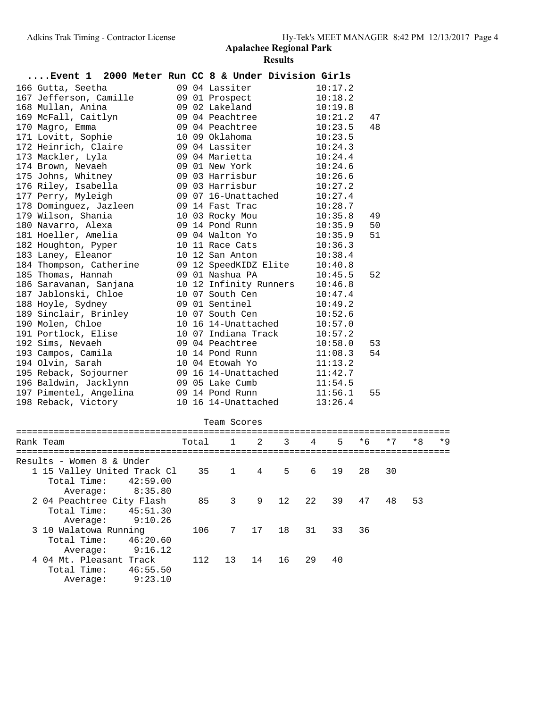|  | Event 1 2000 Meter Run CC 8 & Under Division Girls |  |  |                        |         |    |  |  |
|--|----------------------------------------------------|--|--|------------------------|---------|----|--|--|
|  | 166 Gutta, Seetha                                  |  |  | 09 04 Lassiter         | 10:17.2 |    |  |  |
|  | 167 Jefferson, Camille                             |  |  | 09 01 Prospect         | 10:18.2 |    |  |  |
|  | 168 Mullan, Anina                                  |  |  | 09 02 Lakeland         | 10:19.8 |    |  |  |
|  | 169 McFall, Caitlyn                                |  |  | 09 04 Peachtree        | 10:21.2 | 47 |  |  |
|  | 170 Magro, Emma                                    |  |  | 09 04 Peachtree        | 10:23.5 | 48 |  |  |
|  | 171 Lovitt, Sophie                                 |  |  | 10 09 Oklahoma         | 10:23.5 |    |  |  |
|  | 172 Heinrich, Claire                               |  |  | 09 04 Lassiter         | 10:24.3 |    |  |  |
|  | 173 Mackler, Lyla                                  |  |  | 09 04 Marietta         | 10:24.4 |    |  |  |
|  | 174 Brown, Nevaeh                                  |  |  | 09 01 New York         | 10:24.6 |    |  |  |
|  | 175 Johns, Whitney                                 |  |  | 09 03 Harrisbur        | 10:26.6 |    |  |  |
|  | 176 Riley, Isabella                                |  |  | 09 03 Harrisbur        | 10:27.2 |    |  |  |
|  | 177 Perry, Myleigh                                 |  |  | 09 07 16-Unattached    | 10:27.4 |    |  |  |
|  | 178 Dominguez, Jazleen                             |  |  | 09 14 Fast Trac        | 10:28.7 |    |  |  |
|  | 179 Wilson, Shania                                 |  |  | 10 03 Rocky Mou        | 10:35.8 | 49 |  |  |
|  | 180 Navarro, Alexa                                 |  |  | 09 14 Pond Runn        | 10:35.9 | 50 |  |  |
|  | 181 Hoeller, Amelia                                |  |  | 09 04 Walton Yo        | 10:35.9 | 51 |  |  |
|  | 182 Houghton, Pyper                                |  |  | 10 11 Race Cats        | 10:36.3 |    |  |  |
|  | 183 Laney, Eleanor                                 |  |  | 10 12 San Anton        | 10:38.4 |    |  |  |
|  | 184 Thompson, Catherine                            |  |  | 09 12 SpeedKIDZ Elite  | 10:40.8 |    |  |  |
|  | 185 Thomas, Hannah                                 |  |  | 09 01 Nashua PA        | 10:45.5 | 52 |  |  |
|  | 186 Saravanan, Sanjana                             |  |  | 10 12 Infinity Runners | 10:46.8 |    |  |  |
|  | 187 Jablonski, Chloe                               |  |  | 10 07 South Cen        | 10:47.4 |    |  |  |
|  | 188 Hoyle, Sydney                                  |  |  | 09 01 Sentinel         | 10:49.2 |    |  |  |
|  | 189 Sinclair, Brinley                              |  |  | 10 07 South Cen        | 10:52.6 |    |  |  |
|  | 190 Molen, Chloe                                   |  |  | 10 16 14-Unattached    | 10:57.0 |    |  |  |
|  | 191 Portlock, Elise                                |  |  | 10 07 Indiana Track    | 10:57.2 |    |  |  |
|  | 192 Sims, Nevaeh                                   |  |  | 09 04 Peachtree        | 10:58.0 | 53 |  |  |
|  | 193 Campos, Camila                                 |  |  | 10 14 Pond Runn        | 11:08.3 | 54 |  |  |
|  | 194 Olvin, Sarah                                   |  |  | 10 04 Etowah Yo        | 11:13.2 |    |  |  |
|  | 195 Reback, Sojourner                              |  |  | 09 16 14-Unattached    | 11:42.7 |    |  |  |
|  | 196 Baldwin, Jacklynn                              |  |  | 09 05 Lake Cumb        | 11:54.5 |    |  |  |
|  | 197 Pimentel, Angelina                             |  |  | 09 14 Pond Runn        | 11:56.1 | 55 |  |  |
|  | 198 Reback, Victory                                |  |  | 10 16 14-Unattached    | 13:26.4 |    |  |  |
|  |                                                    |  |  | Team Scores            |         |    |  |  |
|  |                                                    |  |  |                        |         |    |  |  |

| Rank Team                                                        |                     | Total |                | $1 \quad 2$    | 3  | 4  | $5 -$ | $*6$ | $*7$ | $*8$ | $*9$ |
|------------------------------------------------------------------|---------------------|-------|----------------|----------------|----|----|-------|------|------|------|------|
| Results - Women 8 & Under                                        |                     |       |                |                |    |    |       |      |      |      |      |
| 1 15 Valley United Track Cl<br>Total Time:                       | 42:59.00<br>8:35.80 | 35    | $\overline{1}$ | $\overline{4}$ | 5  | 6  | 19    | 28   | 30   |      |      |
| Average:<br>2 04 Peachtree City Flash<br>Total Time:<br>Average: | 45:51.30<br>9:10.26 | 85    | 3              | 9              | 12 | 22 | 39    | 47   | 48   | 53   |      |
| 3 10 Walatowa Running<br>Total Time:<br>Average:                 | 46:20.60<br>9:16.12 | 106   |                | 7 17           | 18 | 31 | 33    | 36   |      |      |      |
| 4 04 Mt. Pleasant Track<br>Total Time:<br>Average:               | 46:55.50<br>9:23.10 | 112   | 13             | 14             | 16 | 29 | 40    |      |      |      |      |